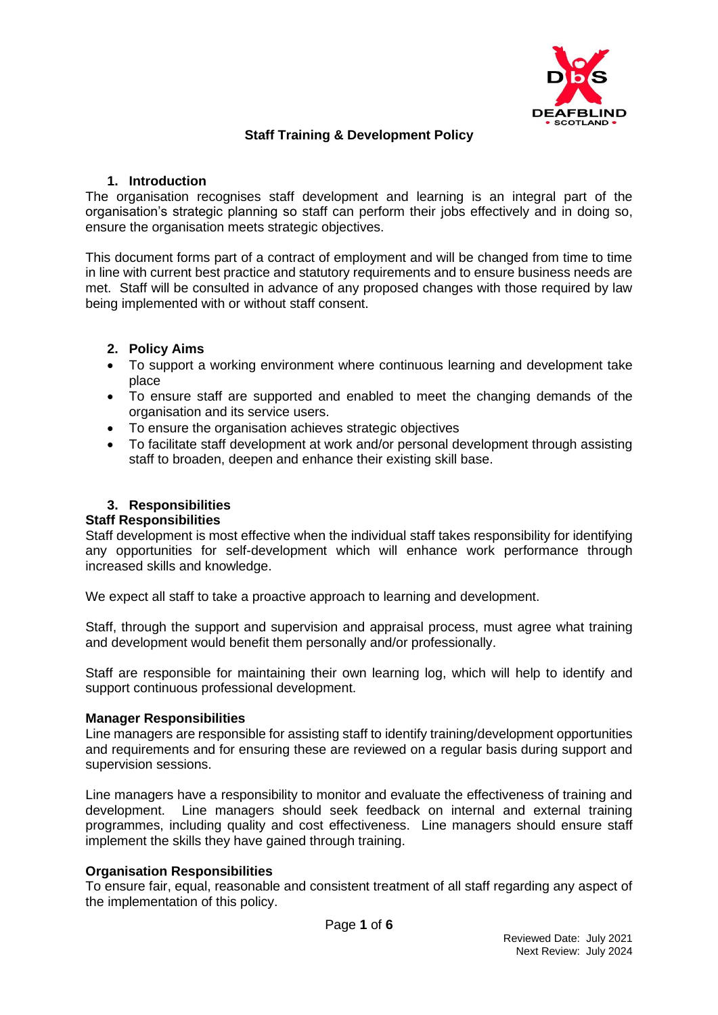

# **Staff Training & Development Policy**

### **1. Introduction**

The organisation recognises staff development and learning is an integral part of the organisation's strategic planning so staff can perform their jobs effectively and in doing so, ensure the organisation meets strategic objectives.

This document forms part of a contract of employment and will be changed from time to time in line with current best practice and statutory requirements and to ensure business needs are met. Staff will be consulted in advance of any proposed changes with those required by law being implemented with or without staff consent.

### **2. Policy Aims**

- To support a working environment where continuous learning and development take place
- To ensure staff are supported and enabled to meet the changing demands of the organisation and its service users.
- To ensure the organisation achieves strategic objectives
- To facilitate staff development at work and/or personal development through assisting staff to broaden, deepen and enhance their existing skill base.

## **3. Responsibilities**

#### **Staff Responsibilities**

Staff development is most effective when the individual staff takes responsibility for identifying any opportunities for self-development which will enhance work performance through increased skills and knowledge.

We expect all staff to take a proactive approach to learning and development.

Staff, through the support and supervision and appraisal process, must agree what training and development would benefit them personally and/or professionally.

Staff are responsible for maintaining their own learning log, which will help to identify and support continuous professional development.

#### **Manager Responsibilities**

Line managers are responsible for assisting staff to identify training/development opportunities and requirements and for ensuring these are reviewed on a regular basis during support and supervision sessions.

Line managers have a responsibility to monitor and evaluate the effectiveness of training and development. Line managers should seek feedback on internal and external training programmes, including quality and cost effectiveness. Line managers should ensure staff implement the skills they have gained through training.

#### **Organisation Responsibilities**

To ensure fair, equal, reasonable and consistent treatment of all staff regarding any aspect of the implementation of this policy.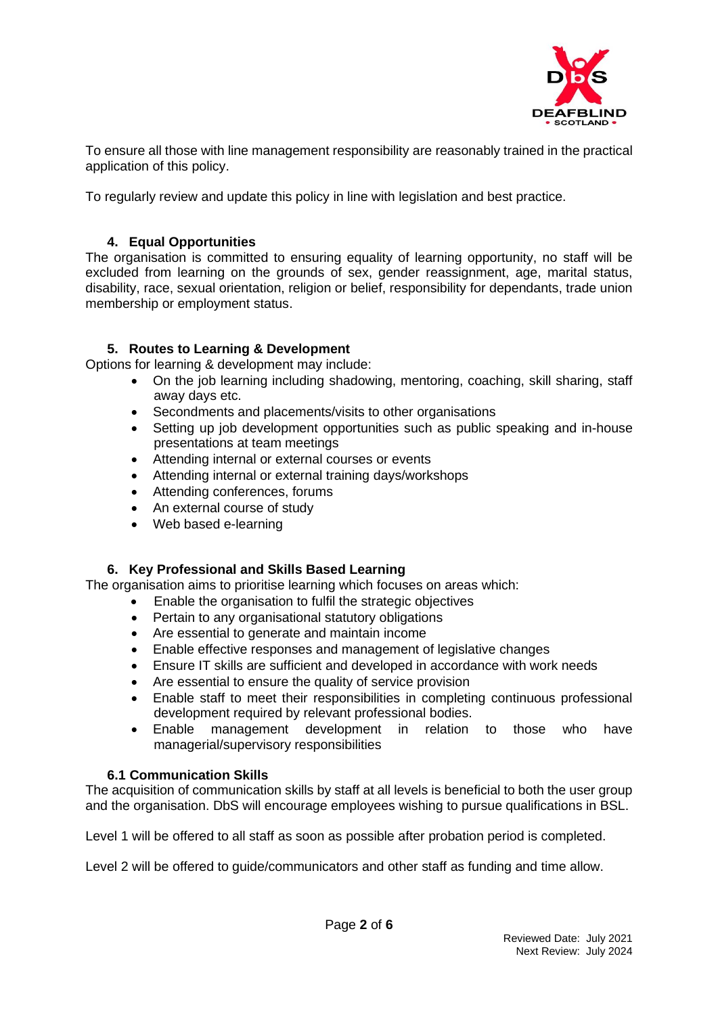

To ensure all those with line management responsibility are reasonably trained in the practical application of this policy.

To regularly review and update this policy in line with legislation and best practice.

## **4. Equal Opportunities**

The organisation is committed to ensuring equality of learning opportunity, no staff will be excluded from learning on the grounds of sex, gender reassignment, age, marital status, disability, race, sexual orientation, religion or belief, responsibility for dependants, trade union membership or employment status.

### **5. Routes to Learning & Development**

Options for learning & development may include:

- On the job learning including shadowing, mentoring, coaching, skill sharing, staff away days etc.
- Secondments and placements/visits to other organisations
- Setting up job development opportunities such as public speaking and in-house presentations at team meetings
- Attending internal or external courses or events
- Attending internal or external training days/workshops
- Attending conferences, forums
- An external course of study
- Web based e-learning

# **6. Key Professional and Skills Based Learning**

The organisation aims to prioritise learning which focuses on areas which:

- Enable the organisation to fulfil the strategic objectives
- Pertain to any organisational statutory obligations
- Are essential to generate and maintain income
- Enable effective responses and management of legislative changes
- Ensure IT skills are sufficient and developed in accordance with work needs
- Are essential to ensure the quality of service provision
- Enable staff to meet their responsibilities in completing continuous professional development required by relevant professional bodies.
- Enable management development in relation to those who have managerial/supervisory responsibilities

#### **6.1 Communication Skills**

The acquisition of communication skills by staff at all levels is beneficial to both the user group and the organisation. DbS will encourage employees wishing to pursue qualifications in BSL.

Level 1 will be offered to all staff as soon as possible after probation period is completed.

Level 2 will be offered to guide/communicators and other staff as funding and time allow.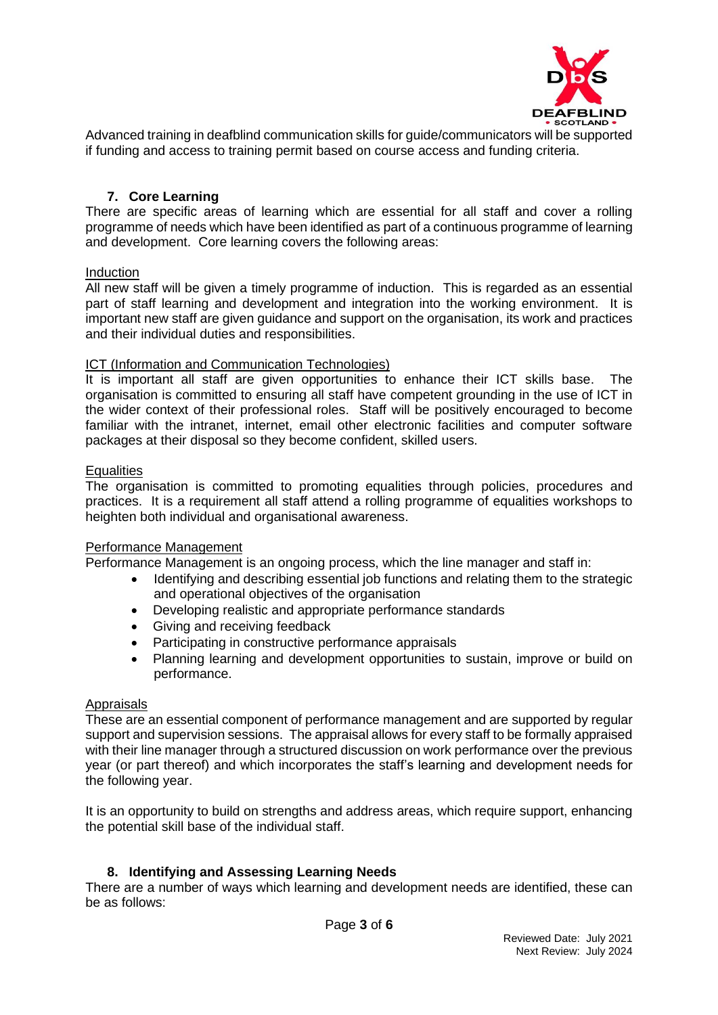

Advanced training in deafblind communication skills for guide/communicators will be supported if funding and access to training permit based on course access and funding criteria.

#### **7. Core Learning**

There are specific areas of learning which are essential for all staff and cover a rolling programme of needs which have been identified as part of a continuous programme of learning and development. Core learning covers the following areas:

#### **Induction**

All new staff will be given a timely programme of induction. This is regarded as an essential part of staff learning and development and integration into the working environment. It is important new staff are given guidance and support on the organisation, its work and practices and their individual duties and responsibilities.

#### ICT (Information and Communication Technologies)

It is important all staff are given opportunities to enhance their ICT skills base. The organisation is committed to ensuring all staff have competent grounding in the use of ICT in the wider context of their professional roles. Staff will be positively encouraged to become familiar with the intranet, internet, email other electronic facilities and computer software packages at their disposal so they become confident, skilled users.

#### **Equalities**

The organisation is committed to promoting equalities through policies, procedures and practices. It is a requirement all staff attend a rolling programme of equalities workshops to heighten both individual and organisational awareness.

#### Performance Management

Performance Management is an ongoing process, which the line manager and staff in:

- Identifying and describing essential job functions and relating them to the strategic and operational objectives of the organisation
- Developing realistic and appropriate performance standards
- Giving and receiving feedback
- Participating in constructive performance appraisals
- Planning learning and development opportunities to sustain, improve or build on performance.

#### Appraisals

These are an essential component of performance management and are supported by regular support and supervision sessions. The appraisal allows for every staff to be formally appraised with their line manager through a structured discussion on work performance over the previous year (or part thereof) and which incorporates the staff's learning and development needs for the following year.

It is an opportunity to build on strengths and address areas, which require support, enhancing the potential skill base of the individual staff.

#### **8. Identifying and Assessing Learning Needs**

There are a number of ways which learning and development needs are identified, these can be as follows: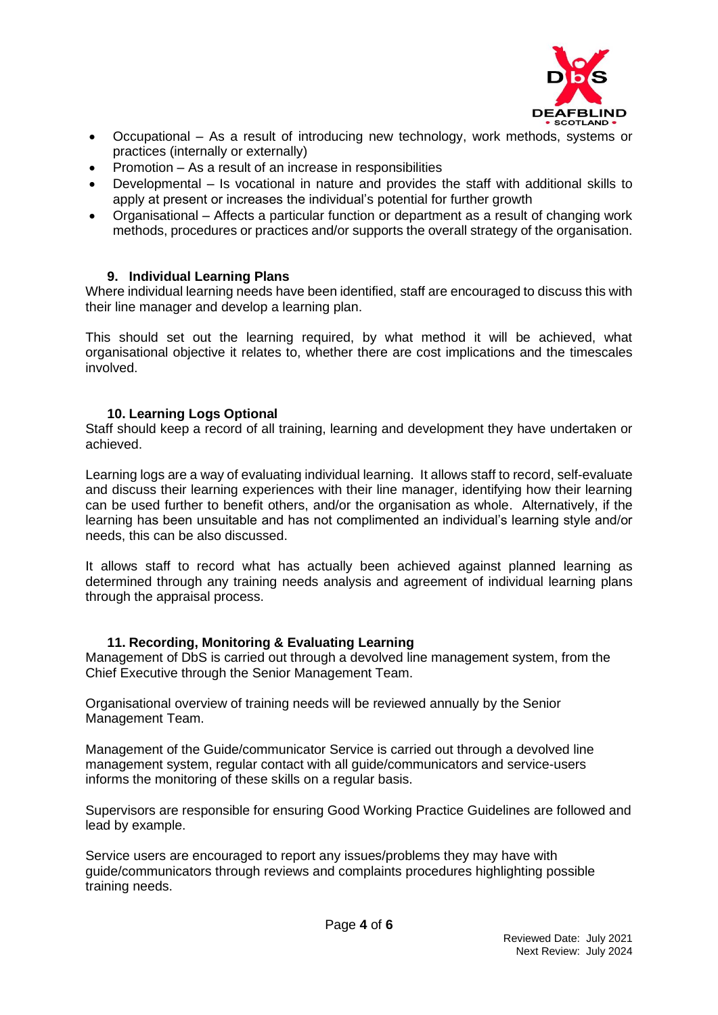

- Occupational As a result of introducing new technology, work methods, systems or practices (internally or externally)
- Promotion As a result of an increase in responsibilities
- Developmental Is vocational in nature and provides the staff with additional skills to apply at present or increases the individual's potential for further growth
- Organisational Affects a particular function or department as a result of changing work methods, procedures or practices and/or supports the overall strategy of the organisation.

#### **9. Individual Learning Plans**

Where individual learning needs have been identified, staff are encouraged to discuss this with their line manager and develop a learning plan.

This should set out the learning required, by what method it will be achieved, what organisational objective it relates to, whether there are cost implications and the timescales involved.

#### **10. Learning Logs Optional**

Staff should keep a record of all training, learning and development they have undertaken or achieved.

Learning logs are a way of evaluating individual learning. It allows staff to record, self-evaluate and discuss their learning experiences with their line manager, identifying how their learning can be used further to benefit others, and/or the organisation as whole. Alternatively, if the learning has been unsuitable and has not complimented an individual's learning style and/or needs, this can be also discussed.

It allows staff to record what has actually been achieved against planned learning as determined through any training needs analysis and agreement of individual learning plans through the appraisal process.

#### **11. Recording, Monitoring & Evaluating Learning**

Management of DbS is carried out through a devolved line management system, from the Chief Executive through the Senior Management Team.

Organisational overview of training needs will be reviewed annually by the Senior Management Team.

Management of the Guide/communicator Service is carried out through a devolved line management system, regular contact with all guide/communicators and service-users informs the monitoring of these skills on a regular basis.

Supervisors are responsible for ensuring Good Working Practice Guidelines are followed and lead by example.

Service users are encouraged to report any issues/problems they may have with guide/communicators through reviews and complaints procedures highlighting possible training needs.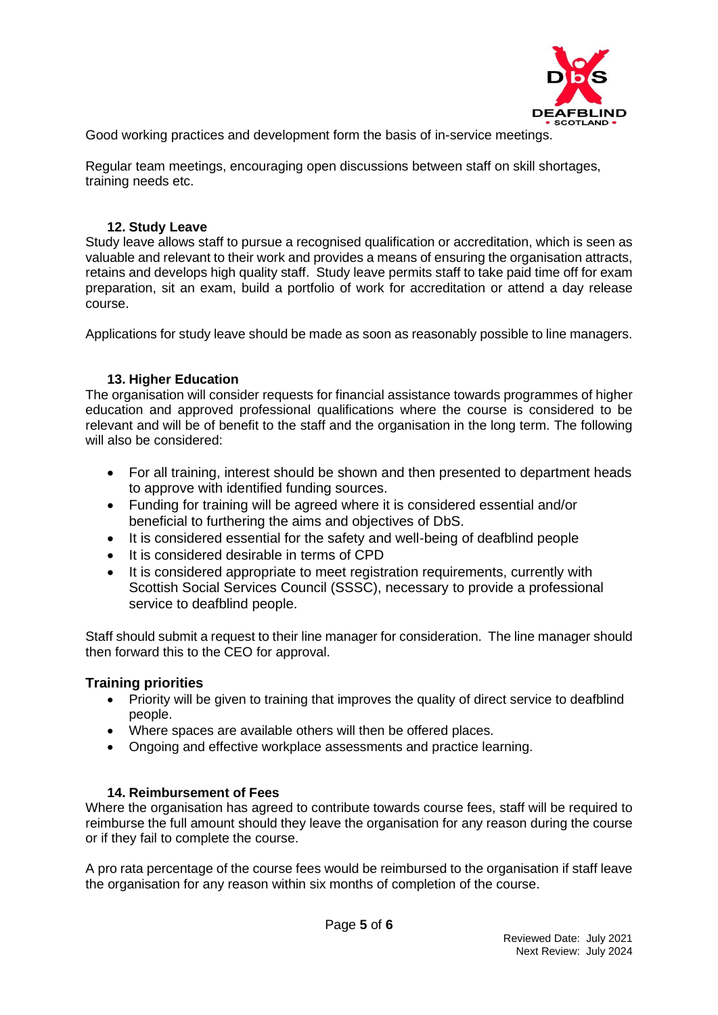

Good working practices and development form the basis of in-service meetings.

Regular team meetings, encouraging open discussions between staff on skill shortages, training needs etc.

### **12. Study Leave**

Study leave allows staff to pursue a recognised qualification or accreditation, which is seen as valuable and relevant to their work and provides a means of ensuring the organisation attracts, retains and develops high quality staff. Study leave permits staff to take paid time off for exam preparation, sit an exam, build a portfolio of work for accreditation or attend a day release course.

Applications for study leave should be made as soon as reasonably possible to line managers.

# **13. Higher Education**

The organisation will consider requests for financial assistance towards programmes of higher education and approved professional qualifications where the course is considered to be relevant and will be of benefit to the staff and the organisation in the long term. The following will also be considered:

- For all training, interest should be shown and then presented to department heads to approve with identified funding sources.
- Funding for training will be agreed where it is considered essential and/or beneficial to furthering the aims and objectives of DbS.
- It is considered essential for the safety and well-being of deafblind people
- It is considered desirable in terms of CPD
- It is considered appropriate to meet registration requirements, currently with Scottish Social Services Council (SSSC), necessary to provide a professional service to deafblind people.

Staff should submit a request to their line manager for consideration. The line manager should then forward this to the CEO for approval.

#### **Training priorities**

- Priority will be given to training that improves the quality of direct service to deafblind people.
- Where spaces are available others will then be offered places.
- Ongoing and effective workplace assessments and practice learning.

#### **14. Reimbursement of Fees**

Where the organisation has agreed to contribute towards course fees, staff will be required to reimburse the full amount should they leave the organisation for any reason during the course or if they fail to complete the course.

A pro rata percentage of the course fees would be reimbursed to the organisation if staff leave the organisation for any reason within six months of completion of the course.